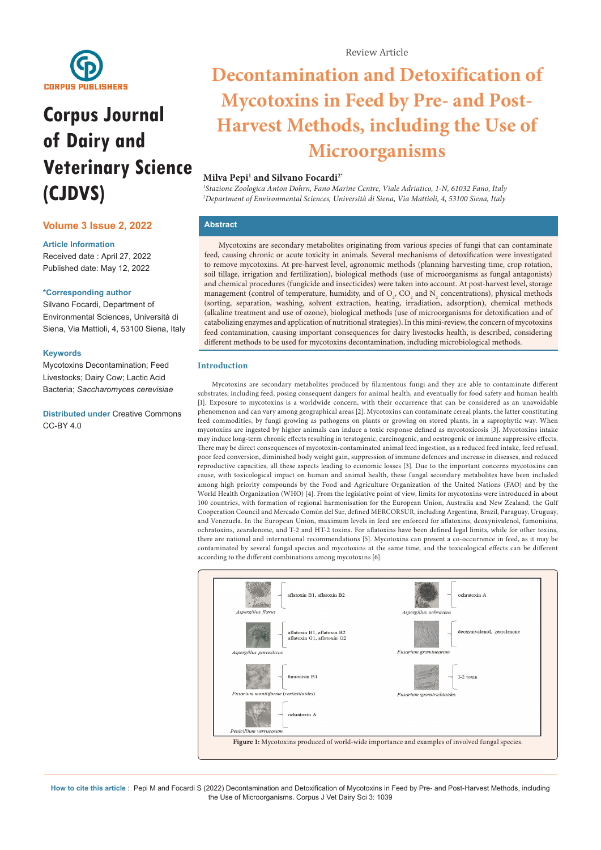

# **Corpus Journal of Dairy and Veterinary Science (CJDVS)**

## **Volume 3 Issue 2, 2022**

## **Article Information**

Received date : April 27, 2022 Published date: May 12, 2022

### **\*Corresponding author**

Silvano Focardi, Department of Environmental Sciences, Università di Siena, Via Mattioli, 4, 53100 Siena, Italy

### **Keywords**

Mycotoxins Decontamination; Feed Livestocks; Dairy Cow; Lactic Acid Bacteria; *Saccharomyces cerevisiae*

**Distributed under** [Creative Commons](https://creativecommons.org/licenses/by/4.0/)  [CC-BY 4.0](https://creativecommons.org/licenses/by/4.0/)

# **Decontamination and Detoxification of Mycotoxins in Feed by Pre- and Post-Harvest Methods, including the Use of Microorganisms**

## **Milva Pepi1 and Silvano Focardi2\***

*1 Stazione Zoologica Anton Dohrn, Fano Marine Centre, Viale Adriatico, 1-N, 61032 Fano, Italy 2 Department of Environmental Sciences, Università di Siena, Via Mattioli, 4, 53100 Siena, Italy*

## **Abstract**

Mycotoxins are secondary metabolites originating from various species of fungi that can contaminate feed, causing chronic or acute toxicity in animals. Several mechanisms of detoxification were investigated to remove mycotoxins. At pre-harvest level, agronomic methods (planning harvesting time, crop rotation, soil tillage, irrigation and fertilization), biological methods (use of microorganisms as fungal antagonists) and chemical procedures (fungicide and insecticides) were taken into account. At post-harvest level, storage management (control of temperature, humidity, and of  $O_2$ ,  $CO_2$  and  $N_2$  concentrations), physical methods (sorting, separation, washing, solvent extraction, heating, irradiation, adsorption), chemical methods (alkaline treatment and use of ozone), biological methods (use of microorganisms for detoxification and of catabolizing enzymes and application of nutritional strategies). In this mini-review, the concern of mycotoxins feed contamination, causing important consequences for dairy livestocks health, is described, considering different methods to be used for mycotoxins decontamination, including microbiological methods.

## **Introduction**

Mycotoxins are secondary metabolites produced by filamentous fungi and they are able to contaminate different substrates, including feed, posing consequent dangers for animal health, and eventually for food safety and human health [1]. Exposure to mycotoxins is a worldwide concern, with their occurrence that can be considered as an unavoidable phenomenon and can vary among geographical areas [2]. Mycotoxins can contaminate cereal plants, the latter constituting feed commodities, by fungi growing as pathogens on plants or growing on stored plants, in a saprophytic way. When mycotoxins are ingested by higher animals can induce a toxic response defined as mycotoxicosis [3]. Mycotoxins intake may induce long-term chronic effects resulting in teratogenic, carcinogenic, and oestrogenic or immune suppressive effects. There may be direct consequences of mycotoxin-contaminated animal feed ingestion, as a reduced feed intake, feed refusal, poor feed conversion, diminished body weight gain, suppression of immune defences and increase in diseases, and reduced reproductive capacities, all these aspects leading to economic losses [3]. Due to the important concerns mycotoxins can cause, with toxicological impact on human and animal health, these fungal secondary metabolites have been included among high priority compounds by the Food and Agriculture Organization of the United Nations (FAO) and by the World Health Organization (WHO) [4]. From the legislative point of view, limits for mycotoxins were introduced in about 100 countries, with formation of regional harmonisation for the European Union, Australia and New Zealand, the Gulf Cooperation Council and Mercado Común del Sur, defined MERCORSUR, including Argentina, Brazil, Paraguay, Uruguay, and Venezuela. In the European Union, maximum levels in feed are enforced for aflatoxins, deoxynivalenol, fumonisins, ochratoxins, zearalenone, and T-2 and HT-2 toxins. For aflatoxins have been defined legal limits, while for other toxins, there are national and international recommendations [5]. Mycotoxins can present a co-occurrence in feed, as it may be contaminated by several fungal species and mycotoxins at the same time, and the toxicological effects can be different according to the different combinations among mycotoxins [6].

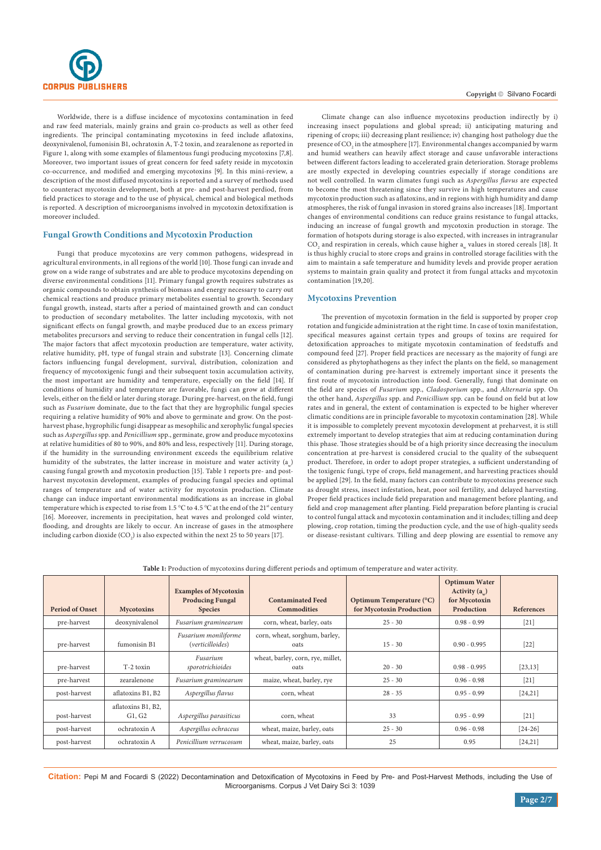

Worldwide, there is a diffuse incidence of mycotoxins contamination in feed and raw feed materials, mainly grains and grain co-products as well as other feed ingredients. The principal contaminating mycotoxins in feed include aflatoxins, deoxynivalenol, fumonisin B1, ochratoxin A, T-2 toxin, and zearalenone as reported in Figure 1, along with some examples of filamentous fungi producing mycotoxins [7,8]. Moreover, two important issues of great concern for feed safety reside in mycotoxin co-occurrence, and modified and emerging mycotoxins [9]. In this mini-review, a description of the most diffused mycotoxins is reported and a survey of methods used to counteract mycotoxin development, both at pre- and post-harvest perdiod, from field practices to storage and to the use of physical, chemical and biological methods is reported. A description of microorganisms involved in mycotoxin detoxifixation is moreover included.

#### **Fungal Growth Conditions and Mycotoxin Production**

Fungi that produce mycotoxins are very common pathogens, widespread in agricultural environments, in all regions of the world [10]. Those fungi can invade and grow on a wide range of substrates and are able to produce mycotoxins depending on diverse environmental conditions [11]. Primary fungal growth requires substrates as organic compounds to obtain synthesis of biomass and energy necessary to carry out chemical reactions and produce primary metabolites essential to growth. Secondary fungal growth, instead, starts after a period of maintained growth and can conduct to production of secondary metabolites. The latter including mycotoxis, with not significant effects on fungal growth, and maybe produced due to an excess primary metabolites precursors and serving to reduce their concentration in fungal cells [12]. The major factors that affect mycotoxin production are temperature, water activity, relative humidity, pH, type of fungal strain and substrate [13]. Concerning climate factors influencing fungal development, survival, distribution, colonization and frequency of mycotoxigenic fungi and their subsequent toxin accumulation activity, the most important are humidity and temperature, especially on the field [14]. If conditions of humidity and temperature are favorable, fungi can grow at different levels, either on the field or later during storage. During pre-harvest, on the field, fungi such as *Fusarium* dominate, due to the fact that they are hygrophilic fungal species requiring a relative humidity of 90% and above to germinate and grow. On the postharvest phase, hygrophilic fungi disappear as mesophilic and xerophylic fungal species such as *Aspergillus* spp. and *Penicillium* spp., germinate, grow and produce mycotoxins at relative humidities of 80 to 90%, and 80% and less, respectively [11]. During storage, if the humidity in the surrounding environment exceeds the equilibrium relative humidity of the substrates, the latter increase in moisture and water activity  $(a)$ causing fungal growth and mycotoxin production [15]. Table 1 reports pre- and postharvest mycotoxin development, examples of producing fungal species and optimal ranges of temperature and of water activity for mycotoxin production. Climate change can induce important environmental modifications as an increase in global temperature which is expected to rise from 1.5 °C to 4.5 °C at the end of the 21<sup>st</sup> century [16]. Moreover, increments in precipitation, heat waves and prolonged cold winter, flooding, and droughts are likely to occur. An increase of gases in the atmosphere including carbon dioxide (CO<sub>2</sub>) is also expected within the next 25 to 50 years [17].

#### Copyright © Silvano Focardi

Climate change can also influence mycotoxins production indirectly by i) increasing insect populations and global spread; ii) anticipating maturing and ripening of crops; iii) decreasing plant resilience; iv) changing host pathology due the presence of  $\mathrm{CO}_2$  in the atmosphere [17]. Environmental changes accompanied by warm and humid weathers can heavily affect storage and cause unfavorable interactions between different factors leading to accelerated grain deterioration. Storage problems are mostly expected in developing countries especially if storage conditions are not well controlled. In warm climates fungi such as *Aspergillus flavus* are expected to become the most threatening since they survive in high temperatures and cause mycotoxin production such as aflatoxins, and in regions with high humidity and damp atmospheres, the risk of fungal invasion in stored grains also increases [18]. Important changes of environmental conditions can reduce grains resistance to fungal attacks, inducing an increase of fungal growth and mycotoxin production in storage. The formation of hotspots during storage is also expected, with increases in intragranular  $\text{CO}_2$  and respiration in cereals, which cause higher  $\text{a}_{\text{w}}$  values in stored cereals [18]. It is thus highly crucial to store crops and grains in controlled storage facilities with the aim to maintain a safe temperature and humidity levels and provide proper aeration systems to maintain grain quality and protect it from fungal attacks and mycotoxin contamination [19,20].

#### **Mycotoxins Prevention**

The prevention of mycotoxin formation in the field is supported by proper crop rotation and fungicide administration at the right time. In case of toxin manifestation, specifical measures against certain types and groups of toxins are required for detoxification approaches to mitigate mycotoxin contamination of feedstuffs and compound feed [27]. Proper field practices are necessary as the majority of fungi are considered as phytophathogens as they infect the plants on the field, so management of contamination during pre-harvest is extremely important since it presents the first route of mycotoxin introduction into food. Generally, fungi that dominate on the field are species of *Fusarium* spp., *Cladosporium* spp., and *Alternaria* spp. On the other hand, *Aspergillus* spp. and *Penicillium* spp. can be found on field but at low rates and in general, the extent of contamination is expected to be higher wherever climatic conditions are in principle favorable to mycotoxin contamination [28]. While it is impossible to completely prevent mycotoxin development at preharvest, it is still extremely important to develop strategies that aim at reducing contamination during this phase. Those strategies should be of a high priority since decreasing the inoculum concentration at pre-harvest is considered crucial to the quality of the subsequent product. Therefore, in order to adopt proper strategies, a sufficient understanding of the toxigenic fungi, type of crops, field management, and harvesting practices should be applied [29]. In the field, many factors can contribute to mycotoxins presence such as drought stress, insect infestation, heat, poor soil fertility, and delayed harvesting. Proper field practices include field preparation and management before planting, and field and crop management after planting. Field preparation before planting is crucial to control fungal attack and mycotoxin contamination and it includes; tilling and deep plowing, crop rotation, timing the production cycle, and the use of high-quality seeds or disease-resistant cultivars. Tilling and deep plowing are essential to remove any

| <b>Period of Onset</b> | <b>Mycotoxins</b>            | <b>Examples of Mycotoxin</b><br><b>Producing Fungal</b><br><b>Species</b> | <b>Contaminated Feed</b><br><b>Commodities</b> | Optimum Temperature (°C)<br>for Mycotoxin Production | <b>Optimum Water</b><br>Activity $(a_$ )<br>for Mycotoxin<br>Production | References |
|------------------------|------------------------------|---------------------------------------------------------------------------|------------------------------------------------|------------------------------------------------------|-------------------------------------------------------------------------|------------|
| pre-harvest            | deoxynivalenol               | Fusarium graminearum                                                      | corn, wheat, barley, oats                      | $25 - 30$                                            | $0.98 - 0.99$                                                           | $[21]$     |
| pre-harvest            | fumonisin B1                 | Fusarium moniliforme<br>(verticilloides)                                  | corn, wheat, sorghum, barley,<br>oats          | $15 - 30$                                            | $0.90 - 0.995$                                                          | $[22]$     |
| pre-harvest            | T-2 toxin                    | Fusarium<br>sporotrichioides                                              | wheat, barley, corn, rye, millet,<br>oats      | $20 - 30$                                            | $0.98 - 0.995$                                                          | [23, 13]   |
| pre-harvest            | zearalenone                  | Fusarium graminearum                                                      | maize, wheat, barley, rye                      | $25 - 30$                                            | $0.96 - 0.98$                                                           | $[21]$     |
| post-harvest           | aflatoxins B1, B2            | Aspergillus flavus                                                        | corn, wheat                                    | $28 - 35$                                            | $0.95 - 0.99$                                                           | [24, 21]   |
| post-harvest           | aflatoxins B1, B2,<br>G1, G2 | Aspergillus parasiticus                                                   | corn, wheat                                    | 33                                                   | $0.95 - 0.99$                                                           | $[21]$     |
| post-harvest           | ochratoxin A                 | Aspergillus ochraceus                                                     | wheat, maize, barley, oats                     | $25 - 30$                                            | $0.96 - 0.98$                                                           | $[24-26]$  |
| post-harvest           | ochratoxin A                 | Penicillium verrucosum                                                    | wheat, maize, barley, oats                     | 25                                                   | 0.95                                                                    | [24, 21]   |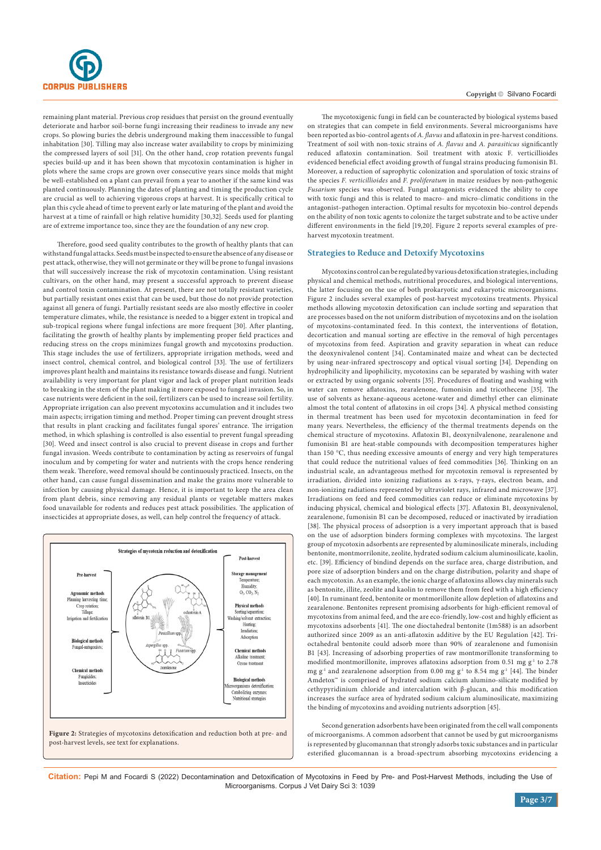

remaining plant material. Previous crop residues that persist on the ground eventually deteriorate and harbor soil-borne fungi increasing their readiness to invade any new crops. So plowing buries the debris underground making them inaccessible to fungal inhabitation [30]. Tilling may also increase water availability to crops by minimizing the compressed layers of soil [31]. On the other hand, crop rotation prevents fungal species build-up and it has been shown that mycotoxin contamination is higher in plots where the same crops are grown over consecutive years since molds that might be well-established on a plant can prevail from a year to another if the same kind was planted continuously. Planning the dates of planting and timing the production cycle are crucial as well to achieving vigorous crops at harvest. It is specifically critical to plan this cycle ahead of time to prevent early or late maturing of the plant and avoid the harvest at a time of rainfall or high relative humidity [30,32]. Seeds used for planting are of extreme importance too, since they are the foundation of any new crop.

Therefore, good seed quality contributes to the growth of healthy plants that can withstand fungal attacks. Seeds must be inspected to ensure the absence of any disease or pest attack, otherwise, they will not germinate or they will be prone to fungal invasions that will successively increase the risk of mycotoxin contamination. Using resistant cultivars, on the other hand, may present a successful approach to prevent disease and control toxin contamination. At present, there are not totally resistant varieties, but partially resistant ones exist that can be used, but those do not provide protection against all genera of fungi. Partially resistant seeds are also mostly effective in cooler temperature climates, while, the resistance is needed to a bigger extent in tropical and sub-tropical regions where fungal infections are more frequent [30]. After planting, facilitating the growth of healthy plants by implementing proper field practices and reducing stress on the crops minimizes fungal growth and mycotoxins production. This stage includes the use of fertilizers, appropriate irrigation methods, weed and insect control, chemical control, and biological control [33]. The use of fertilizers improves plant health and maintains its resistance towards disease and fungi. Nutrient availability is very important for plant vigor and lack of proper plant nutrition leads to breaking in the stem of the plant making it more exposed to fungal invasion. So, in case nutrients were deficient in the soil, fertilizers can be used to increase soil fertility. Appropriate irrigation can also prevent mycotoxins accumulation and it includes two main aspects; irrigation timing and method. Proper timing can prevent drought stress that results in plant cracking and facilitates fungal spores' entrance. The irrigation method, in which splashing is controlled is also essential to prevent fungal spreading [30]. Weed and insect control is also crucial to prevent disease in crops and further fungal invasion. Weeds contribute to contamination by acting as reservoirs of fungal inoculum and by competing for water and nutrients with the crops hence rendering them weak. Therefore, weed removal should be continuously practiced. Insects, on the other hand, can cause fungal dissemination and make the grains more vulnerable to infection by causing physical damage. Hence, it is important to keep the area clean from plant debris, since removing any residual plants or vegetable matters makes food unavailable for rodents and reduces pest attack possibilities. The application of insecticides at appropriate doses, as well, can help control the frequency of attack.



The mycotoxigenic fungi in field can be counteracted by biological systems based on strategies that can compete in field environments. Several microorganisms have been reported as bio-control agents of *A. flavus* and aflatoxin in pre-harvest conditions. Treatment of soil with non-toxic strains of *A. flavus* and *A. parasiticus* significantly reduced aflatoxin contamination. Soil treatment with atoxic F. verticillioides evidenced beneficial effect avoiding growth of fungal strains producing fumonisin B1. Moreover, a reduction of saprophytic colonization and sporulation of toxic strains of the species *F. verticillioides* and *F. proliferatum* in maize residues by non-pathogenic *Fusarium* species was observed. Fungal antagonists evidenced the ability to cope with toxic fungi and this is related to macro- and micro-climatic conditions in the antagonist–pathogen interaction. Optimal results for mycotoxin bio-control depends on the ability of non toxic agents to colonize the target substrate and to be active under different environments in the field [19,20]. Figure 2 reports several examples of preharvest mycotoxin treatment.

#### **Strategies to Reduce and Detoxify Mycotoxins**

Mycotoxins control can be regulated by various detoxification strategies, including physical and chemical methods, nutritional procedures, and biological interventions, the latter focusing on the use of both prokaryotic and eukaryotic microorganisms. Figure 2 includes several examples of post-harvest mycotoxins treatments. Physical methods allowing mycotoxin detoxification can include sorting and separation that are processes based on the not uniform distribution of mycotoxins and on the isolation of mycotoxins-contaminated feed. In this context, the interventions of flotation, decortication and manual sorting are effective in the removal of high percentages of mycotoxins from feed. Aspiration and gravity separation in wheat can reduce the deoxynivalenol content [34]. Contaminated maize and wheat can be dectected by using near-infrared spectroscopy and optical visual sorting [34]. Depending on hydrophilicity and lipophilicity, mycotoxins can be separated by washing with water or extracted by using organic solvents [35]. Procedures of floating and washing with water can remove aflatoxins, zearalenone, fumonisin and tricothecene [35]. The use of solvents as hexane-aqueous acetone-water and dimethyl ether can eliminate almost the total content of aflatoxins in oil crops [34]. A physical method consisting in thermal treatment has been used for mycotoxin decontamination in feed for many years. Nevertheless, the efficiency of the thermal treatments depends on the chemical structure of mycotoxins. Aflatoxin B1, deoxynilvalenone, zearalenone and fumonisin B1 are heat-stable compounds with decomposition temperatures higher than 150 °C, thus needing excessive amounts of energy and very high temperatures that could reduce the nutritional values of feed commodities [36]. Thinking on an industrial scale, an advantageous method for mycotoxin removal is represented by irradiation, divided into ionizing radiations as x-rays, γ-rays, electron beam, and non-ionizing radiations represented by ultraviolet rays, infrared and microwave [37]. Irradiations on feed and feed commodities can reduce or eliminate mycotoxins by inducing physical, chemical and biological effects [37]. Aflatoxin B1, deoxynivalenol, zearalenone, fumonisin B1 can be decomposed, reduced or inactivated by irradiation [38]. The physical process of adsorption is a very important approach that is based on the use of adsorption binders forming complexes with mycotoxins. The largest group of mycotoxin adsorbents are represented by aluminosilicate minerals, including bentonite, montmorrilonite, zeolite, hydrated sodium calcium aluminosilicate, kaolin, etc. [39]. Efficiency of bindind depends on the surface area, charge distribution, and pore size of adsorption binders and on the charge distribution, polarity and shape of each mycotoxin. As an example, the ionic charge of aflatoxins allows clay minerals such as bentonite, illite, zeolite and kaolin to remove them from feed with a high efficiency [40]. In ruminant feed, bentonite or montmorillonite allow depletion of aflatoxins and zearalenone. Bentonites represent promising adsorbents for high-efficient removal of mycotoxins from animal feed, and the are eco-friendly, low-cost and highly efficient as mycotoxins adsorbents [41]. The one dioctahedral bentonite (1m588) is an adsorbent authorized since 2009 as an anti-aflatoxin additive by the EU Regulation [42]. Trioctahedral bentonite could adsorb more than 90% of zearalenone and fumonisin B1 [43]. Increasing of adsorbing properties of raw montmorillonite transforming to modified montmorillonite, improves aflatoxins adsorption from 0.51 mg  $g^{-1}$  to 2.78 mg g<sup>-1</sup> and zearalenone adsorption from 0.00 mg g<sup>-1</sup> to 8.54 mg g<sup>-1</sup> [44]. The binder Amdetox™ is comprised of hydrated sodium calcium alumino-silicate modified by cethypyridinium chloride and intercalation with β-glucan, and this modification increases the surface area of hydrated sodium calcium aluminosilicate, maximizing the binding of mycotoxins and avoiding nutrients adsorption [45].

Second generation adsorbents have been originated from the cell wall components of microorganisms. A common adsorbent that cannot be used by gut microorganisms is represented by glucomannan that strongly adsorbs toxic substances and in particular esterified glucomannan is a broad-spectrum absorbing mycotoxins evidencing a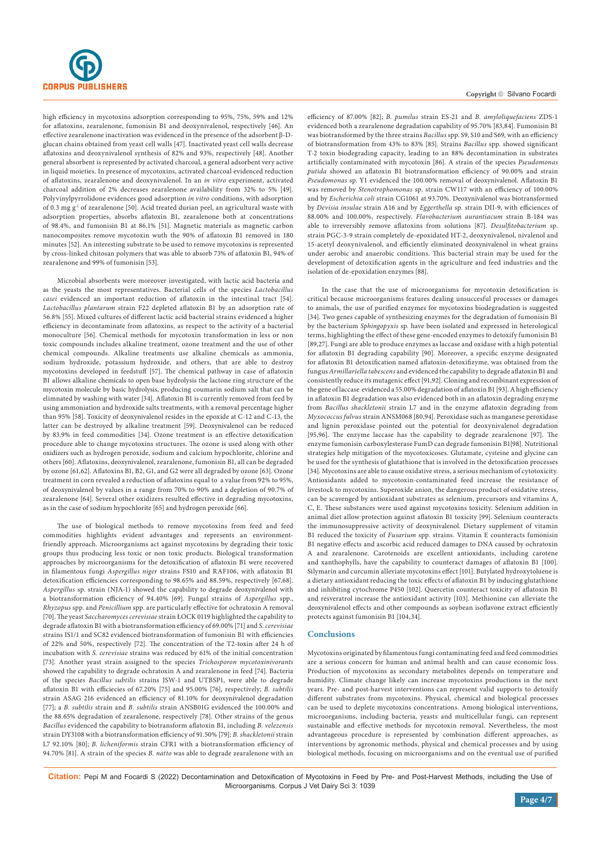

high efficiency in mycotoxins adsorption corresponding to 95%, 75%, 59% and 12% for aflatoxins, zearalenone, fumonisin B1 and deoxynivalenol, respectively [46]. An effective zearalenone inactivation was evidenced in the presence of the adsorbent β-Dglucan chains obtained from yeast cell walls [47]. Inactivated yeast cell walls decrease aflatoxins and deoxynivalenol synthesis of 82% and 93%, respectively [48]. Another general absorbent is represented by activated charcoal, a general adsorbent very active in liquid moieties. In presence of mycotoxins, activated charcoal evidenced reduction of aflatoxins, zearalenone and deoxynivalenol. In an *in vitro* experiment, activated charcoal addition of 2% decreases zearalenone availability from 32% to 5% [49]. Polyvinylpyrrolidone evidences good adsorption *in vitro* conditions, with adsorption of 0.3 mg g<sup>-1</sup> of zearalenone [50]. Acid treated durian peel, an agricultural waste with adsorption properties, absorbs aflatoxin B1, zearalenone both at concentrations of 98.4%, and fumonisin B1 at 86.1% [51]. Magnetic materials as magnetic carbon nanocomposites remove mycotoxin wuth the 90% of aflatoxin B1 removed in 180 minutes [52]. An interesting substrate to be used to remove mycotoxins is represented by cross-linked chitosan polymers that was able to absorb 73% of aflatoxin B1, 94% of zearalenone and 99% of fumonisin [53].

Microbial absorbents were moreover investigated, with lactic acid bacteria and as the yeasts the most representatives. Bacterial cells of the species *Lactobacillus casei* evidenced an important reduction of aflatoxin in the intestinal tract [54]. *Lactobacillus plantarum* strain F22 depleted aflatoxin B1 by an adsorption rate of 56.8% [55]. Mixed cultures of different lactic acid bacterial strains evidenced a higher efficiency in decontaminate from aflatoxins, as respect to the activity of a bacterial monoculture [56]. Chemical methods for mycotoxin transformation in less or non toxic compounds includes alkaline treatment, ozone treatment and the use of other chemical compounds. Alkaline treatments use alkaline chemicals as ammonia, sodium hydroxide, potassium hydroxide, and others, that are able to destroy mycotoxins developed in feedstuff [57]. The chemical pathway in case of aflatoxin B1 allows alkaline chemicals to open base hydrolysis the lactone ring structure of the mycotoxin molecule by basic hydrolysis, producing coumarin sodium salt that can be elimnated by washing with water [34]. Aflatoxin B1 is currently removed from feed by using ammoniation and hydroxide salts treatments, with a removal percentage higher than 95% [58]. Toxicity of deoxynivalenol resides in the epoxide at C-12 and C-13, the latter can be destroyed by alkaline treatment [59]. Deoxynivalenol can be reduced by 83.9% in feed commodities [34]. Ozone treatment is an effective detoxification procedure able to change mycotoxins structures. The ozone is used along with other oxidizers such as hydrogen peroxide, sodium and calcium hypochlorite, chlorine and others [60]. Aflatoxins, deoxynivalenol, zearalenone, fumonisin B1, all can be degraded by ozone [61,62]. Aflatoxins B1, B2, G1, and G2 were all degraded by ozone [63]. Ozone treatment in corn revealed a reduction of aflatoxins equal to a value from 92% to 95%, of deoxynivalenol by values in a range from 70% to 90% and a depletion of 90.7% of zearalenone [64]. Several other oxidizers resulted effective in degrading mycotoxins, as in the case of sodium hypochlorite [65] and hydrogen peroxide [66].

The use of biological methods to remove mycotoxins from feed and feed commodities highlights evident advantages and represents an environmentfriendly approach. Microorganisms act against mycotoxins by degrading their toxic groups thus producing less toxic or non toxic products. Biological transformation approaches by microorganisms for the detoxification of aflatoxin B1 were recovered in filamentous fungi *Aspergillus niger* strains FS10 and RAF106, with aflatoxin B1 detoxification efficiencies corresponding to 98.65% and 88.59%, respectively [67,68]. *Aspergillus* sp. strain (NJA-1) showed the capability to degrade deoxynivalenol with a biotransformation efficiency of 94.40% [69]. Fungal strains of *Aspergillus* spp., *Rhyzopus* spp. and *Penicillium* spp. are particularly effective for ochratoxin A removal [70]. The yeast *Saccharomyces cerevisiae* strain ŁOCK 0119 highlighted the capability to degrade aflatoxin B1 with a biotransformation efficiency of 69.00% [71] and *S. cerevisiae* strains IS1/1 and SC82 evidenced biotransformation of fumonisin B1 with efficiencies of 22% and 50%, respectively [72]. The concentration of the T2-toxin after 24 h of incubation with *S. cerevisiae* strains was reduced by 61% of the initial concentration [73]. Another yeast strain assigned to the species *Trichosporon mycotoxinivorants*  showed the capability to degrade ochratoxin A and zearalenone in feed [74]. Bacteria of the species *Bacillus subtilis* strains JSW-1 and UTBSP1, were able to degrade aflatoxin B1 with efficiecies of 67.20% [75] and 95.00% [76], respectively; *B. subtilis* strain ASAG 216 evidenced an efficiency of 81.10% for deoxynivalenol degradation [77]; a *B. subtilis* strain and *B. subtilis* strain ANSB01G evidenced the 100.00% and the 88.65% degradation of zearalenone, respectively [78]. Other strains of the genus *Bacillus* evidenced the capability to biotransform aflatoxin B1, including *B. velezensis* strain DY3108 with a biotransformation efficiency of 91.50% [79]; *B. shackletonii* strain L7 92.10% [80]; *B. licheniformis* strain CFR1 with a biotransformation efficiency of 94.70% [81]. A strain of the species *B. natto* was able to degrade zearalenone with an efficiency of 87.00% [82]; *B. pumilus* strain ES-21 and *B. amyloliquefaciens* ZDS-1 evidenced both a zearalenone degradation capability of 95.70% [83,84]. Fumonisin B1 was biotransformed by the three strains *Bacillus* spp. S9, S10 and S69, with an efficiency of biotransformation from 43% to 83% [85]. Strains *Bacillus* spp. showed significant T-2 toxin biodegrading capacity, leading to an 88% decontamination in substrates artificially contaminated with mycotoxin [86]. A strain of the species *Pseudomonas putida* showed an aflatoxin B1 biotransformation efficiency of 90.00% and strain *Pseudomonas* sp. Y1 evidenced the 100.00% removal of deoxynivalenol. Aflatoxin B1 was removed by *Stenotrophomonas* sp. strain CW117 with an efficiency of 100.00% and by *Escherichia coli* strain CG1061 at 93.70%. Deoxynivalenol was biotransformed by *Devisia insulae* strain A16 and by *Eggerthella* sp. strain DII-9, with efficiences of 88.00% and 100.00%, respectively. *Flavobacterium aurantiacum* strain B-184 was able to irreversibly remove aflatoxins from solutions [87]. *Desulfitobacterium* sp. strain PGC-3-9 strain completely de-epoxidated HT-2, deoxynivalenol, nivalenol and 15-acetyl deoxynivalenol, and efficiently eliminated deoxynivalenol in wheat grains under aerobic and anaerobic conditions. This bacterial strain may be used for the development of detoxification agents in the agriculture and feed industries and the isolation of de-epoxidation enzymes [88].

In the case that the use of microorganisms for mycotoxin detoxification is critical because microorganisms features dealing unsuccesful processes or damages to animals, the use of purified enzymes for mycotoxins biodegradation is suggested [34]. Two genes capable of synthesizing enzymes for the degradation of fumonisin B1 by the bacterium *Sphingopyxis* sp. have been isolated and expressed in heterological terms, highlighting the effect of these gene-encoded enzymes to detoxify fumonisin B1 [89,27]. Fungi are able to produce enzymes as laccase and oxidase with a high potential for aflatoxin B1 degrading capability [90]. Moreover, a specific enzyme designated for aflatoxin B1 detoxification named aflatoxin-detoxifizyme, was obtained from the fungus *Armillariella tabescens* and evidenced the capability to degrade aflatoxin B1 and consistently reduce its mutagenic effect [91,92]. Cloning and recombinant expression of the gene of laccase evidenced a 55.00% degradation of aflatoxin B1 [93]. A high efficiency in aflatoxin B1 degradation was also evidenced both in an aflatoxin degrading enzyme from *Bacillus shackletonii* strain L7 and in the enzyme aflatoxin degrading from *Myxococcus fulvus* strain ANSM068 [80,94]. Peroxidase such as manganese peroxidase and lignin peroxidase pointed out the potential for deoxynivalenol degradation [95,96]. The enzyme laccase has the capability to degrade zearalenone [97]. The enzyme fumonisin carboxylesterase FumD can degrade fumonisin B1[98]. Nutritional strategies help mitigation of the mycotoxicoses. Glutamate, cysteine and glycine can be used for the synthesis of glutathione that is involved in the detoxification processes [34]. Mycotoxins are able to cause oxidative stress, a serious mechanism of cytotoxicity. Antioxidants added to mycotoxin-contaminated feed increase the resistance of livestock to mycotoxins. Superoxide anion, the dangerous product of oxidative stress, can be scavenged by antioxidant substrates as selenium, precursors and vitamins A, C, E. These substances were used against mycotoxins toxicity. Selenium addition in animal diet allow protection against aflatoxin B1 toxicity [99]. Selenium counteracts the immunosuppressive activity of deoxynivalenol. Dietary supplement of vitamin B1 reduced the toxicity of *Fusarium* spp. strains. Vitamin E counteracts fumonisin B1 negative effects and ascorbic acid reduced damages to DNA caused by ochratoxin A and zearalenone. Carotenoids are excellent antioxidants, including carotene and xanthophylls, have the capability to counteract damages of aflatoxin B1 [100]. Silymarin and curcumin alleviate mycotoxins effect [101]. Butylated hydroxytoluene is a dietary antioxidant reducing the toxic effects of aflatoxin B1 by inducing glutathione and inhibiting cytochrome P450 [102]. Quercetin counteract toxicity of aflatoxin B1 and resveratrol increase the antioxidant activity [103]. Methionine can alleviate the deoxynivalenol effects and other compounds as soybean isoflavone extract efficiently protects against fumonisin B1 [104,34].

#### **Conclusions**

Mycotoxins originated by filamentous fungi contaminating feed and feed commodities are a serious concern for human and animal health and can cause economic loss. Production of mycotoxins as secondary metabolites depends on temperature and humidity. Climate change likely can increase mycotoxins productions in the next years. Pre- and post-harvest interventions can represent valid supports to detoxify different substrates from mycotoxins. Physical, chemical and biological processes can be used to deplete mycotoxins concentrations. Among biological interventions, microorganisms, including bacteria, yeasts and multicellular fungi, can represent sustainable and effective methods for mycotoxin removal. Nevertheless, the most advantageous procedure is represented by combination different approaches, as interventions by agronomic methods, physical and chemical processes and by using biological methods, focusing on microorganisms and on the eventual use of purified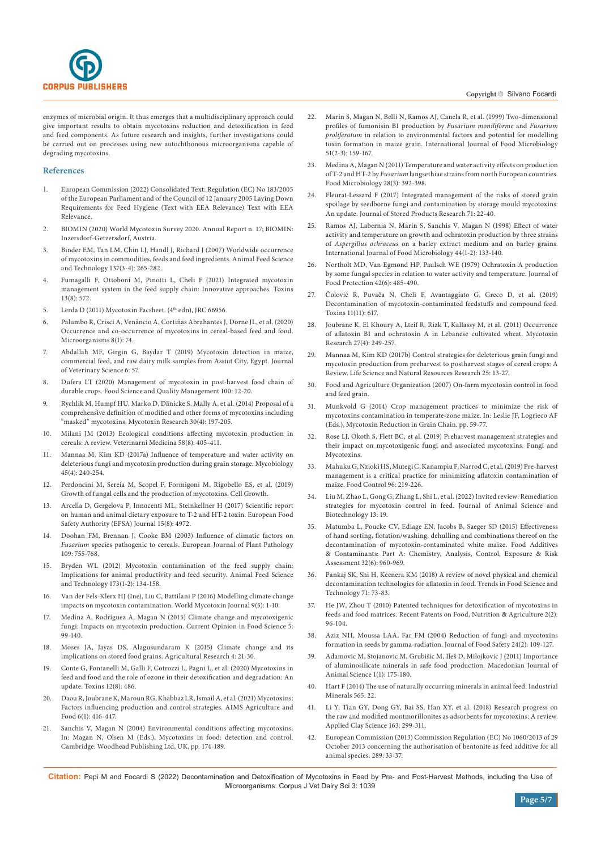

enzymes of microbial origin. It thus emerges that a multidisciplinary approach could give important results to obtain mycotoxins reduction and detoxification in feed and feed components. As future research and insights, further investigations could be carried out on processes using new autochthonous microorganisms capable of degrading mycotoxins.

#### **References**

- 1. European Commission (2022) Consolidated Text: Regulation (EC) No 183/2005 of the European Parliament and of the Council of 12 January 2005 Laying Down Requirements for Feed Hygiene (Text with EEA Relevance) Text with EEA Relevance.
- 2. BIOMIN (2020) World Mycotoxin Survey 2020. Annual Report n. 17; BIOMIN: Inzersdorf-Getzersdorf, Austria.
- 3. [Binder EM, Tan LM, Chin LJ, Handl J, Richard J \(2007\) Worldwide occurrence](https://www.sciencedirect.com/science/article/abs/pii/S0377840107002192)  [of mycotoxins in commodities, feeds and feed ingredients. Animal Feed Science](https://www.sciencedirect.com/science/article/abs/pii/S0377840107002192)  [and Technology 137\(3-4\): 265-282.](https://www.sciencedirect.com/science/article/abs/pii/S0377840107002192)
- 4. [Fumagalli F, Ottoboni M, Pinotti L, Cheli F \(2021\) Integrated mycotoxin](https://pubmed.ncbi.nlm.nih.gov/34437443/)  [management system in the feed supply chain: Innovative approaches. Toxins](https://pubmed.ncbi.nlm.nih.gov/34437443/)  [13\(8\): 572.](https://pubmed.ncbi.nlm.nih.gov/34437443/)
- 5. Lerda D (2011) Mycotoxin Facsheet. (4<sup>th</sup> edn), JRC 66956.
- 6. Palumbo R, Crisci A, Venâncio A, Cortiñ[as Abrahantes J, Dorne JL, et al. \(2020\)](https://pubmed.ncbi.nlm.nih.gov/31947721/)  [Occurrence and co-occurrence of mycotoxins in cereal-based feed and food.](https://pubmed.ncbi.nlm.nih.gov/31947721/)  [Microorganisms 8\(1\): 74.](https://pubmed.ncbi.nlm.nih.gov/31947721/)
- 7. Abdallah MF, Girgin G, Baydar T (2019) Mycotoxin detection in maize, commercial feed, and raw dairy milk samples from Assiut City, Egypt. Journal of Veterinary Science 6: 57.
- 8. [Dufera LT \(2020\) Management of mycotoxin in post-harvest food chain of](https://iiste.org/Journals/index.php/FSQM/article/view/53787)  [durable crops. Food Science and Quality Management 100: 12-20.](https://iiste.org/Journals/index.php/FSQM/article/view/53787)
- 9. Rychlik M, Humpf HU, Marko D, Dä[nicke S, Mally A, et al. \(2014\) Proposal of a](https://pubmed.ncbi.nlm.nih.gov/24962446/)  [comprehensive definition of modified and other forms of mycotoxins including](https://pubmed.ncbi.nlm.nih.gov/24962446/)  ["masked" mycotoxins. Mycotoxin Research 30\(4\): 197-205.](https://pubmed.ncbi.nlm.nih.gov/24962446/)
- 10. [Milani JM \(2013\) Ecological conditions affecting mycotoxin production in](https://www.agriculturejournals.cz/publicFiles/101701.pdf)  [cereals: A review. Veterinarni Medicina 58\(8\): 405-411.](https://www.agriculturejournals.cz/publicFiles/101701.pdf)
- 11. [Mannaa M, Kim KD \(2017a\) Influence of temperature and water activity on](https://pubmed.ncbi.nlm.nih.gov/29371792/)  [deleterious fungi and mycotoxin production during grain storage. Mycobiology](https://pubmed.ncbi.nlm.nih.gov/29371792/)  [45\(4\): 240-254.](https://pubmed.ncbi.nlm.nih.gov/29371792/)
- 12. [Perdoncini M, Sereia M, Scopel F, Formigoni M, Rigobello ES, et al. \(2019\)](https://www.intechopen.com/chapters/67599)  [Growth of fungal cells and the production of mycotoxins. Cell Growth.](https://www.intechopen.com/chapters/67599)
- 13. [Arcella D, Gergelova P, Innocenti ML, Steinkellner H \(2017\) Scientific report](https://efsa.onlinelibrary.wiley.com/doi/full/10.2903/j.efsa.2017.4972)  [on human and animal dietary exposure to T-2 and HT-2 toxin. European Food](https://efsa.onlinelibrary.wiley.com/doi/full/10.2903/j.efsa.2017.4972)  [Safety Authority \(EFSA\) Journal 15\(8\): 4972.](https://efsa.onlinelibrary.wiley.com/doi/full/10.2903/j.efsa.2017.4972)
- 14. [Doohan FM, Brennan J, Cooke BM \(2003\) Influence of climatic factors on](https://link.springer.com/article/10.1023/A:1026090626994)  *Fusarium* [species pathogenic to cereals. European Journal of Plant Pathology](https://link.springer.com/article/10.1023/A:1026090626994)  [109: 755-768.](https://link.springer.com/article/10.1023/A:1026090626994)
- 15. [Bryden WL \(2012\) Mycotoxin contamination of the feed supply chain:](https://www.sciencedirect.com/science/article/abs/pii/S0377840111005037)  [Implications for animal productivity and feed security. Animal Feed Science](https://www.sciencedirect.com/science/article/abs/pii/S0377840111005037)  [and Technology 173\(1-2\): 134-158.](https://www.sciencedirect.com/science/article/abs/pii/S0377840111005037)
- 16. [Van der Fels-Klerx HJ \(Ine\), Liu C, Battilani P \(2016\) Modelling climate change](https://www.wageningenacademic.com/doi/10.3920/WMJ2016.2066)  [impacts on mycotoxin contamination. World Mycotoxin Journal 9\(5\): 1-10.](https://www.wageningenacademic.com/doi/10.3920/WMJ2016.2066)
- 17. [Medina A, Rodríguez A, Magan N \(2015\) Climate change and mycotoxigenic](https://www.sciencedirect.com/science/article/abs/pii/S2214799315001319)  fungi: Impacts on mycotoxin production. Current Opinion in Food Science 5: [99-140.](https://www.sciencedirect.com/science/article/abs/pii/S2214799315001319)
- 18. [Moses JA, Jayas DS, Alagusundaram K \(2015\) Climate change and its](https://link.springer.com/article/10.1007/s40003-015-0152-z)  [implications on stored food grains. Agricultural Research 4: 21-30.](https://link.springer.com/article/10.1007/s40003-015-0152-z)
- 19. [Conte G, Fontanelli M, Galli F, Cotrozzi L, Pagni L, et al. \(2020\) Mycotoxins in](https://pubmed.ncbi.nlm.nih.gov/32751684/)  [feed and food and the role of ozone in their detoxification and degradation: An](https://pubmed.ncbi.nlm.nih.gov/32751684/)  [update. Toxins 12\(8\): 486.](https://pubmed.ncbi.nlm.nih.gov/32751684/)
- 20. [Daou R, Joubrane K, Maroun RG, Khabbaz LR, Ismail A, et al. \(2021\) Mycotoxins:](https://www.aimspress.com/article/doi/10.3934/agrfood.2021025?viewType=HTML)  [Factors influencing production and control strategies. AIMS Agriculture and](https://www.aimspress.com/article/doi/10.3934/agrfood.2021025?viewType=HTML)  [Food 6\(1\): 416-447.](https://www.aimspress.com/article/doi/10.3934/agrfood.2021025?viewType=HTML)
- 21. Sanchis V, Magan N (2004) Environmental conditions affecting mycotoxins. In: Magan N, Olsen M (Eds.), Mycotoxins in food: detection and control. Cambridge: Woodhead Publishing Ltd, UK, pp. 174-189.
- 22. Marín S, Magan N, Bellí [N, Ramos AJ, Canela R, et al. \(1999\) Two-dimensional](https://pubmed.ncbi.nlm.nih.gov/10574091/)  [profiles of fumonisin B1 production by](https://pubmed.ncbi.nlm.nih.gov/10574091/) *Fusarium moniliforme* and *Fusarium proliferatum* [in relation to environmental factors and potential for modelling](https://pubmed.ncbi.nlm.nih.gov/10574091/)  [toxin formation in maize grain. International Journal of Food Microbiology](https://pubmed.ncbi.nlm.nih.gov/10574091/)  [51\(2-3\): 159-167.](https://pubmed.ncbi.nlm.nih.gov/10574091/)
- 23. [Medina A, Magan N \(2011\) Temperature and water activity effects on production](https://pubmed.ncbi.nlm.nih.gov/21356443/)  of T-2 and HT-2 by *Fusarium* [langsethiae strains from north European countries.](https://pubmed.ncbi.nlm.nih.gov/21356443/)  [Food Microbiology 28\(3\): 392-398.](https://pubmed.ncbi.nlm.nih.gov/21356443/)
- 24. [Fleurat-Lessard F \(2017\) Integrated management of the risks of stored grain](https://www.sciencedirect.com/science/article/abs/pii/S0022474X16300911)  [spoilage by seedborne fungi and contamination by storage mould mycotoxins:](https://www.sciencedirect.com/science/article/abs/pii/S0022474X16300911)  [An update. Journal of Stored Products Research 71: 22-40.](https://www.sciencedirect.com/science/article/abs/pii/S0022474X16300911)
- 25. Ramos AJ, Labernia N, Marí[n S, Sanchis V, Magan N \(1998\) Effect of water](https://pubmed.ncbi.nlm.nih.gov/9849791/)  [activity and temperature on growth and ochratoxin production by three strains](https://pubmed.ncbi.nlm.nih.gov/9849791/)  of *Aspergillus ochraceus* [on a barley extract medium and on barley grains.](https://pubmed.ncbi.nlm.nih.gov/9849791/)  [International Journal of Food Microbiology 44\(1-2\): 133-140.](https://pubmed.ncbi.nlm.nih.gov/9849791/)
- 26. [Northolt MD, Van Egmond HP, Paulsch WE \(1979\) Ochratoxin A production](https://pubmed.ncbi.nlm.nih.gov/30812257/)  [by some fungal species in relation to water activity and temperature. Journal of](https://pubmed.ncbi.nlm.nih.gov/30812257/)  [Food Protection 42\(6\): 485-490.](https://pubmed.ncbi.nlm.nih.gov/30812257/)
- 27. Čolović R, Puvač[a N, Cheli F, Avantaggiato G, Greco D, et al. \(2019\)](https://pubmed.ncbi.nlm.nih.gov/31731462/)  [Decontamination of mycotoxin-contaminated feedstuffs and compound feed.](https://pubmed.ncbi.nlm.nih.gov/31731462/)  [Toxins 11\(11\): 617.](https://pubmed.ncbi.nlm.nih.gov/31731462/)
- 28. [Joubrane K, El Khoury A, Lteif R, Rizk T, Kallassy M, et al. \(2011\) Occurrence](https://pubmed.ncbi.nlm.nih.gov/23605926/)  [of aflatoxin B1 and ochratoxin A in Lebanese cultivated wheat. Mycotoxin](https://pubmed.ncbi.nlm.nih.gov/23605926/)  [Research 27\(4\): 249-257.](https://pubmed.ncbi.nlm.nih.gov/23605926/)
- 29. Mannaa M, Kim KD (2017b) Control strategies for deleterious grain fungi and mycotoxin production from preharvest to postharvest stages of cereal crops: A Review. Life Science and Natural Resources Research 25: 13-27.
- 30. [Food and Agriculture Organization \(2007\) On-farm mycotoxin control in food](https://www.fao.org/3/a1416e/a1416e.pdf)  [and feed grain.](https://www.fao.org/3/a1416e/a1416e.pdf)
- 31. Munkvold G (2014) Crop management practices to minimize the risk of mycotoxins contamination in temperate‐zone maize. In: Leslie JF, Logrieco AF (Eds.), Mycotoxin Reduction in Grain Chain. pp. 59-77.
- 32. [Rose LJ, Okoth S, Flett BC, et al. \(2019\) Preharvest management strategies and](https://www.intechopen.com/chapters/61941)  [their impact on mycotoxigenic fungi and associated mycotoxins. Fungi and](https://www.intechopen.com/chapters/61941)  [Mycotoxins.](https://www.intechopen.com/chapters/61941)
- 33. [Mahuku G, Nzioki HS, Mutegi C, Kanampiu F, Narrod C, et al. \(2019\) Pre-harvest](https://www.sciencedirect.com/science/article/pii/S0956713518304419)  [management is a critical practice for minimizing aflatoxin contamination of](https://www.sciencedirect.com/science/article/pii/S0956713518304419)  [maize. Food Control 96: 219-226.](https://www.sciencedirect.com/science/article/pii/S0956713518304419)
- 34. [Liu M, Zhao L, Gong G, Zhang L, Shi L, et al. \(2022\) Invited review: Remediation](https://jasbsci.biomedcentral.com/articles/10.1186/s40104-021-00661-4)  [strategies for mycotoxin control in feed. Journal of Animal Science and](https://jasbsci.biomedcentral.com/articles/10.1186/s40104-021-00661-4)  [Biotechnology 13: 19.](https://jasbsci.biomedcentral.com/articles/10.1186/s40104-021-00661-4)
- 35. [Matumba L, Poucke CV, Ediage EN, Jacobs B, Saeger SD \(2015\) Effectiveness](https://pubmed.ncbi.nlm.nih.gov/25785488/)  [of hand sorting, flotation/washing, dehulling and combinations thereof on the](https://pubmed.ncbi.nlm.nih.gov/25785488/)  [decontamination of mycotoxin-contaminated white maize. Food Additives](https://pubmed.ncbi.nlm.nih.gov/25785488/)  [& Contaminants: Part A: Chemistry, Analysis, Control, Exposure & Risk](https://pubmed.ncbi.nlm.nih.gov/25785488/)  [Assessment 32\(6\): 960-969.](https://pubmed.ncbi.nlm.nih.gov/25785488/)
- 36. [Pankaj SK, Shi H, Keenera KM \(2018\) A review of novel physical and chemical](https://www.sciencedirect.com/science/article/abs/pii/S092422441730033X)  [decontamination technologies for aflatoxin in food. Trends in Food Science and](https://www.sciencedirect.com/science/article/abs/pii/S092422441730033X)  [Technology 71: 73-83.](https://www.sciencedirect.com/science/article/abs/pii/S092422441730033X)
- 37. [He JW, Zhou T \(2010\) Patented techniques for detoxification of mycotoxins in](https://pubmed.ncbi.nlm.nih.gov/20653554/)  [feeds and food matrices. Recent Patents on Food, Nutrition & Agriculture 2\(2\):](https://pubmed.ncbi.nlm.nih.gov/20653554/)  [96-104.](https://pubmed.ncbi.nlm.nih.gov/20653554/)
- 38. Aziz NH, Moussa LAA, Far FM (2004) Reduction of fungi and mycotoxins formation in seeds by gamma-radiation. Journal of Food Safety 24(2): 109-127.
- 39. Adamovic M, Stojanovic M, Grubišic M, Ileš [D, Milojkovic J \(2011\) Importance](http://www.mjas.ukim.edu.mk/files/mjas-01-01-_2011_-030-adamovic.pdf)  [of aluminosilicate minerals in safe food production. Macedonian Journal of](http://www.mjas.ukim.edu.mk/files/mjas-01-01-_2011_-030-adamovic.pdf)  [Animal Science 1\(1\): 175-180.](http://www.mjas.ukim.edu.mk/files/mjas-01-01-_2011_-030-adamovic.pdf)
- 40. [Hart F \(2014\) The use of naturally occurring minerals in animal feed. Industrial](https://www.indmin.com/Article/3382012/Diatomite/The-use-of-naturally-occurring-minerals-in-animal-feed.html)  [Minerals 565: 22.](https://www.indmin.com/Article/3382012/Diatomite/The-use-of-naturally-occurring-minerals-in-animal-feed.html)
- 41. [Li Y, Tian GY, Dong GY, Bai SS, Han XY, et al. \(2018\) Research progress on](https://www.sciencedirect.com/science/article/abs/pii/S0169131718303387)  [the raw and modified montmorillonites as adsorbents for mycotoxins: A review.](https://www.sciencedirect.com/science/article/abs/pii/S0169131718303387)  [Applied Clay Science 163: 299-311.](https://www.sciencedirect.com/science/article/abs/pii/S0169131718303387)
- 42. European Commission (2013) Commission Regulation (EC) No 1060/2013 of 29 October 2013 concerning the authorisation of bentonite as feed additive for all animal species. 289: 33-37.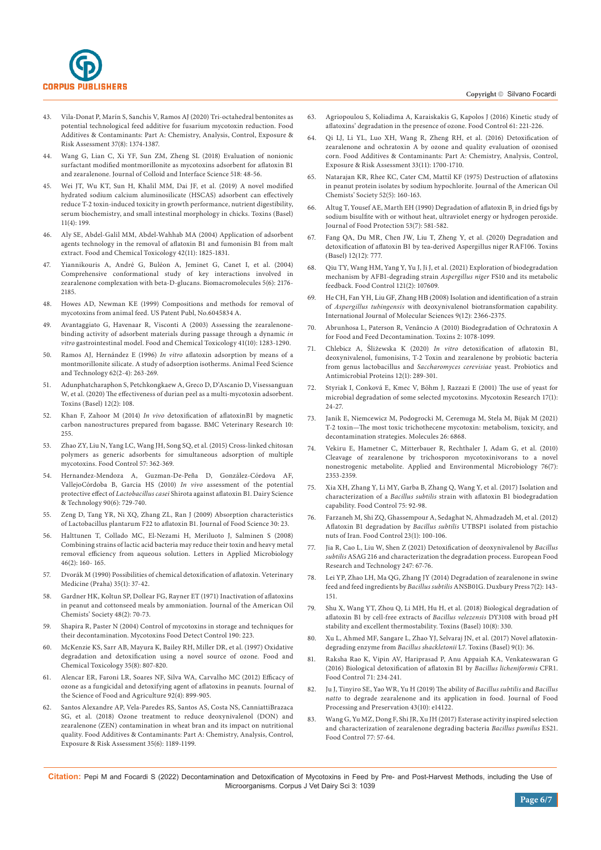

- 43. Vila-Donat P, Marí[n S, Sanchis V, Ramos AJ \(2020\) Tri-octahedral bentonites as](https://pubmed.ncbi.nlm.nih.gov/32529969/)  [potential technological feed additive for fusarium mycotoxin reduction. Food](https://pubmed.ncbi.nlm.nih.gov/32529969/)  [Additives & Contaminants: Part A: Chemistry, Analysis, Control, Exposure &](https://pubmed.ncbi.nlm.nih.gov/32529969/)  [Risk Assessment 37\(8\): 1374-1387.](https://pubmed.ncbi.nlm.nih.gov/32529969/)
- 44. [Wang G, Lian C, Xi YF, Sun ZM, Zheng SL \(2018\) Evaluation of nonionic](https://www.sciencedirect.com/science/article/abs/pii/S0021979718301607)  [surfactant modified montmorillonite as mycotoxins adsorbent for aflatoxin B1](https://www.sciencedirect.com/science/article/abs/pii/S0021979718301607)  [and zearalenone. Journal of Colloid and Interface Science 518: 48-56.](https://www.sciencedirect.com/science/article/abs/pii/S0021979718301607)
- 45. [Wei JT, Wu KT, Sun H, Khalil MM, Dai JF, et al. \(2019\) A novel modified](https://pubmed.ncbi.nlm.nih.gov/30987049/)  [hydrated sodium calcium aluminosilicate \(HSCAS\) adsorbent can effectively](https://pubmed.ncbi.nlm.nih.gov/30987049/)  [reduce T-2 toxin-induced toxicity in growth performance, nutrient digestibility,](https://pubmed.ncbi.nlm.nih.gov/30987049/)  [serum biochemistry, and small intestinal morphology in chicks. Toxins \(Basel\)](https://pubmed.ncbi.nlm.nih.gov/30987049/)  [11\(4\): 199.](https://pubmed.ncbi.nlm.nih.gov/30987049/)
- Aly SE, Abdel-Galil MM, Abdel-Wahhab MA (2004) Application of adsorbent [agents technology in the removal of aflatoxin B1 and fumonisin B1 from malt](https://pubmed.ncbi.nlm.nih.gov/15350680/)  [extract. Food and Chemical Toxicology 42\(11\): 1825-1831.](https://pubmed.ncbi.nlm.nih.gov/15350680/)
- 47. Yiannikouris A, André G, Bulé[on A, Jeminet G, Canet I, et al. \(2004\)](https://pubmed.ncbi.nlm.nih.gov/15530031/)  [Comprehensive conformational study of key interactions involved in](https://pubmed.ncbi.nlm.nih.gov/15530031/)  [zearalenone complexation with beta-D-glucans. Biomacromolecules 5\(6\): 2176-](https://pubmed.ncbi.nlm.nih.gov/15530031/) [2185.](https://pubmed.ncbi.nlm.nih.gov/15530031/)
- 48. Howes AD, Newman KE (1999) Compositions and methods for removal of mycotoxins from animal feed. US Patent Publ, No.6045834 A.
- 49. [Avantaggiato G, Havenaar R, Visconti A \(2003\) Assessing the zearalenone](https://pubmed.ncbi.nlm.nih.gov/12909260/)[binding activity of adsorbent materials during passage through a dynamic](https://pubmed.ncbi.nlm.nih.gov/12909260/) *in vitro* [gastrointestinal model. Food and Chemical Toxicology 41\(10\): 1283-1290.](https://pubmed.ncbi.nlm.nih.gov/12909260/)
- 50. Ramos AJ, Hernández E (1996) *In vitro* [aflatoxin adsorption by means of a](https://www.sciencedirect.com/science/article/abs/pii/S0377840196009686)  [montmorillonite silicate. A study of adsorption isotherms. Animal Feed Science](https://www.sciencedirect.com/science/article/abs/pii/S0377840196009686)  [and Technology 62\(2-4\): 263-269.](https://www.sciencedirect.com/science/article/abs/pii/S0377840196009686)
- 51. [Adunphatcharaphon S, Petchkongkaew A, Greco D, D'Ascanio D, Visessanguan](https://pubmed.ncbi.nlm.nih.gov/32046316/)  [W, et al. \(2020\) The effectiveness of durian peel as a multi-mycotoxin adsorbent.](https://pubmed.ncbi.nlm.nih.gov/32046316/)  [Toxins \(Basel\) 12\(2\): 108.](https://pubmed.ncbi.nlm.nih.gov/32046316/)
- 52. Khan F, Zahoor M (2014) *In vivo* [detoxification of aflatoxinB1 by magnetic](https://bmcvetres.biomedcentral.com/articles/10.1186/s12917-014-0255-y)  [carbon nanostructures prepared from bagasse. BMC Veterinary Research 10:](https://bmcvetres.biomedcentral.com/articles/10.1186/s12917-014-0255-y)  [255.](https://bmcvetres.biomedcentral.com/articles/10.1186/s12917-014-0255-y)
- 53. [Zhao ZY, Liu N, Yang LC, Wang JH, Song SQ, et al. \(2015\) Cross-linked chitosan](https://www.sciencedirect.com/science/article/abs/pii/S0956713515300098)  [polymers as generic adsorbents for simultaneous adsorption of multiple](https://www.sciencedirect.com/science/article/abs/pii/S0956713515300098)  [mycotoxins. Food Control 57: 362-369.](https://www.sciencedirect.com/science/article/abs/pii/S0956713515300098)
- 54. [Hernandez-Mendoza A, Guzman-De-Pe](https://link.springer.com/article/10.1051/dst/2010030)ña D, González-Córdova AF, VallejoCórdoba B, Garcia HS (2010) *In vivo* [assessment of the potential](https://link.springer.com/article/10.1051/dst/2010030)  protective effect of *Lactobacillus casei* [Shirota against aflatoxin B1. Dairy Science](https://link.springer.com/article/10.1051/dst/2010030)  [& Technology 90\(6\): 729-740.](https://link.springer.com/article/10.1051/dst/2010030)
- 55. Zeng D, Tang YR, Ni XQ, Zhang ZL, Ran J (2009) Absorption characteristics of Lactobacillus plantarum F22 to aflatoxin B1. Journal of Food Science 30: 23.
- 56. [Halttunen T, Collado MC, El-Nezami H, Meriluoto J, Salminen S \(2008\)](https://pubmed.ncbi.nlm.nih.gov/18028332/)  [Combining strains of lactic acid bacteria may reduce their toxin and heavy metal](https://pubmed.ncbi.nlm.nih.gov/18028332/)  [removal efficiency from aqueous solution. Letters in Applied Microbiology](https://pubmed.ncbi.nlm.nih.gov/18028332/)  [46\(2\): 160- 165.](https://pubmed.ncbi.nlm.nih.gov/18028332/)
- 57. Dvorák M (1990) Possibilities of chemical detoxification of aflatoxin. Veterinary Medicine (Praha) 35(1): 37-42.
- 58. [Gardner HK, Koltun SP, Dollear FG, Rayner ET \(1971\) Inactivation of aflatoxins](https://pubmed.ncbi.nlm.nih.gov/5107811/)  [in peanut and cottonseed meals by ammoniation. Journal of the American Oil](https://pubmed.ncbi.nlm.nih.gov/5107811/)  [Chemists' Society 48\(2\): 70-73.](https://pubmed.ncbi.nlm.nih.gov/5107811/)
- 59. Shapira R, Paster N (2004) Control of mycotoxins in storage and techniques for their decontamination. Mycotoxins Food Detect Control 190: 223.
- 60. [McKenzie KS, Sarr AB, Mayura K, Bailey RH, Miller DR, et al. \(1997\) Oxidative](https://pubmed.ncbi.nlm.nih.gov/9350226/)  [degradation and detoxification using a novel source of ozone. Food and](https://pubmed.ncbi.nlm.nih.gov/9350226/)  [Chemical Toxicology 35\(8\): 807-820.](https://pubmed.ncbi.nlm.nih.gov/9350226/)
- 61. [Alencar ER, Faroni LR, Soares NF, Silva WA, Carvalho MC \(2012\) Efficacy of](https://pubmed.ncbi.nlm.nih.gov/22095762/)  [ozone as a fungicidal and detoxifying agent of aflatoxins in peanuts. Journal of](https://pubmed.ncbi.nlm.nih.gov/22095762/)  [the Science of Food and Agriculture 92\(4\): 899-905.](https://pubmed.ncbi.nlm.nih.gov/22095762/)
- 62. [Santos Alexandre AP, Vela-Paredes RS, Santos AS, Costa NS, CanniattiBrazaca](https://pubmed.ncbi.nlm.nih.gov/29377761/)  [SG, et al. \(2018\) Ozone treatment to reduce deoxynivalenol \(DON\) and](https://pubmed.ncbi.nlm.nih.gov/29377761/)  [zearalenone \(ZEN\) contamination in wheat bran and its impact on nutritional](https://pubmed.ncbi.nlm.nih.gov/29377761/)  [quality. Food Additives & Contaminants: Part A: Chemistry, Analysis, Control,](https://pubmed.ncbi.nlm.nih.gov/29377761/)  [Exposure & Risk Assessment 35\(6\): 1189-1199.](https://pubmed.ncbi.nlm.nih.gov/29377761/)
- Copyright © Silvano Focardi
- 63. [Agriopoulou S, Koliadima A, Karaiskakis G, Kapolos J \(2016\) Kinetic study of](https://pubag.nal.usda.gov/catalog/5266015)  [aflatoxins' degradation in the presence of ozone. Food Control 61: 221-226.](https://pubag.nal.usda.gov/catalog/5266015)
- 64. [Qi LJ, Li YL, Luo XH, Wang R, Zheng RH, et al. \(2016\) Detoxification of](https://pubmed.ncbi.nlm.nih.gov/27599389/)  [zearalenone and ochratoxin A by ozone and quality evaluation of ozonised](https://pubmed.ncbi.nlm.nih.gov/27599389/)  [corn. Food Additives & Contaminants: Part A: Chemistry, Analysis, Control,](https://pubmed.ncbi.nlm.nih.gov/27599389/)  [Exposure & Risk Assessment 33\(11\): 1700-1710.](https://pubmed.ncbi.nlm.nih.gov/27599389/)
- 65. [Natarajan KR, Rhee KC, Cater CM, Mattil KF \(1975\) Destruction of aflatoxins](https://pubmed.ncbi.nlm.nih.gov/1133435/)  [in peanut protein isolates by sodium hypochlorite. Journal of the American Oil](https://pubmed.ncbi.nlm.nih.gov/1133435/)  [Chemists' Society 52\(5\): 160-163.](https://pubmed.ncbi.nlm.nih.gov/1133435/)
- 66. Altug T, Yousef AE, Marth EH (1990) Degradation of aflatoxin  $B<sub>1</sub>$  in dried figs by [sodium bisulfite with or without heat, ultraviolet energy or hydrogen peroxide.](https://pubmed.ncbi.nlm.nih.gov/31018365/)  [Journal of Food Protection 53\(7\): 581-582.](https://pubmed.ncbi.nlm.nih.gov/31018365/)
- 67. [Fang QA, Du MR, Chen JW, Liu T, Zheng Y, et al. \(2020\) Degradation and](https://pubmed.ncbi.nlm.nih.gov/33291337/)  [detoxification of aflatoxin B1 by tea-derived Aspergillus niger RAF106. Toxins](https://pubmed.ncbi.nlm.nih.gov/33291337/)  [\(Basel\) 12\(12\): 777.](https://pubmed.ncbi.nlm.nih.gov/33291337/)
- 68. [Qiu TY, Wang HM, Yang Y, Yu J, Ji J, et al. \(2021\) Exploration of biodegradation](https://www.sciencedirect.com/science/article/abs/pii/S0956713520305259)  [mechanism by AFB1-degrading strain](https://www.sciencedirect.com/science/article/abs/pii/S0956713520305259) *Aspergillus niger* FS10 and its metabolic [feedback. Food Control 121\(2\): 107609.](https://www.sciencedirect.com/science/article/abs/pii/S0956713520305259)
- 69. [He CH, Fan YH, Liu GF, Zhang HB \(2008\) Isolation and identification of a strain](https://pubmed.ncbi.nlm.nih.gov/19330081/)  of *Aspergillus tubingensis* [with deoxynivalenol biotransformation capability.](https://pubmed.ncbi.nlm.nih.gov/19330081/)  [International Journal of Molecular Sciences 9\(12\): 2366-2375.](https://pubmed.ncbi.nlm.nih.gov/19330081/)
- 70. Abrunhosa L, Paterson R, Venâ[ncio A \(2010\) Biodegradation of Ochratoxin A](https://pubmed.ncbi.nlm.nih.gov/22069627/)  [for Food and Feed Decontamination. Toxins 2: 1078-1099.](https://pubmed.ncbi.nlm.nih.gov/22069627/)
- 71. Chlebicz A, Śliżewska K (2020) *In vitro* [detoxification of aflatoxin B1,](https://pubmed.ncbi.nlm.nih.gov/30721525/)  [deoxynivalenol, fumonisins, T-2 Toxin and zearalenone by probiotic bacteria](https://pubmed.ncbi.nlm.nih.gov/30721525/)  [from genus lactobacillus and](https://pubmed.ncbi.nlm.nih.gov/30721525/) *Saccharomyces cerevisiae* yeast. Probiotics and [Antimicrobial Proteins 12\(1\): 289-301.](https://pubmed.ncbi.nlm.nih.gov/30721525/)
- 72. Styriak I, Conková E, Kmec V, Bö[hm J, Razzazi E \(2001\) The use of yeast for](https://pubmed.ncbi.nlm.nih.gov/23605753/)  [microbial degradation of some selected mycotoxins. Mycotoxin Research 17\(1\):](https://pubmed.ncbi.nlm.nih.gov/23605753/)  [24-27.](https://pubmed.ncbi.nlm.nih.gov/23605753/)
- 73. [Janik E, Niemcewicz M, Podogrocki M, Ceremuga M, Stela M, Bijak M \(2021\)](https://pubmed.ncbi.nlm.nih.gov/34833960/)  [T-2 toxin—The most toxic trichothecene mycotoxin: metabolism, toxicity, and](https://pubmed.ncbi.nlm.nih.gov/34833960/)  [decontamination strategies. Molecules 26: 6868.](https://pubmed.ncbi.nlm.nih.gov/34833960/)
- 74. [Vekiru E, Hametner C, Mitterbauer R, Rechthaler J, Adam G, et al. \(2010\)](https://pubmed.ncbi.nlm.nih.gov/20118365/)  [Cleavage of zearalenone by trichosporon mycotoxinivorans to a novel](https://pubmed.ncbi.nlm.nih.gov/20118365/)  [nonestrogenic metabolite. Applied and Environmental Microbiology 76\(7\):](https://pubmed.ncbi.nlm.nih.gov/20118365/)  [2353-2359.](https://pubmed.ncbi.nlm.nih.gov/20118365/)
- 75. [Xia XH, Zhang Y, Li MY, Garba B, Zhang Q, Wang Y, et al. \(2017\) Isolation and](https://www.sciencedirect.com/science/article/abs/pii/S0956713516307265)  characterization of a *Bacillus subtilis* [strain with aflatoxin B1 biodegradation](https://www.sciencedirect.com/science/article/abs/pii/S0956713516307265)  [capability. Food Control 75: 92-98.](https://www.sciencedirect.com/science/article/abs/pii/S0956713516307265)
- 76. [Farzaneh M, Shi ZQ, Ghassempour A, Sedaghat N, Ahmadzadeh M, et al. \(2012\)](https://www.sciencedirect.com/science/article/abs/pii/S0956713511002477)  Aflatoxin B1 degradation by *Bacillus subtilis* [UTBSP1 isolated from pistachio](https://www.sciencedirect.com/science/article/abs/pii/S0956713511002477)  [nuts of Iran. Food Control 23\(1\): 100-106.](https://www.sciencedirect.com/science/article/abs/pii/S0956713511002477)
- 77. [Jia R, Cao L, Liu W, Shen Z \(2021\) Detoxification of deoxynivalenol by](https://link.springer.com/article/10.1007/s00217-020-03607-8) *Bacillus subtilis* [ASAG 216 and characterization the degradation process. European Food](https://link.springer.com/article/10.1007/s00217-020-03607-8)  [Research and Technology 247: 67-76.](https://link.springer.com/article/10.1007/s00217-020-03607-8)
- 78. [Lei YP, Zhao LH, Ma QG, Zhang JY \(2014\) Degradation of zearalenone in swine](https://www.sciencegate.app/document/10.3920/wmj2013.1623)  feed and feed ingredients by *Bacillus subtilis* [ANSB01G. Duxbury Press 7\(2\): 143-](https://www.sciencegate.app/document/10.3920/wmj2013.1623) [151.](https://www.sciencegate.app/document/10.3920/wmj2013.1623)
- 79. [Shu X, Wang YT, Zhou Q, Li MH, Hu H, et al. \(2018\) Biological degradation of](https://pubmed.ncbi.nlm.nih.gov/30110983/)  [aflatoxin B1 by cell-free extracts of](https://pubmed.ncbi.nlm.nih.gov/30110983/) *Bacillus velezensis* DY3108 with broad pH [stability and excellent thermostability. Toxins \(Basel\) 10\(8\): 330.](https://pubmed.ncbi.nlm.nih.gov/30110983/)
- 80. [Xu L, Ahmed MF, Sangare L, Zhao YJ, Selvaraj JN, et al. \(2017\) Novel aflatoxin](https://pubmed.ncbi.nlm.nih.gov/28098812/)degrading enzyme from *Bacillus shackletonii* [L7. Toxins \(Basel\) 9\(1\): 36.](https://pubmed.ncbi.nlm.nih.gov/28098812/)
- 81. [Raksha Rao K, Vipin AV, Hariprasad P, Anu Appaiah KA, Venkateswaran G](https://www.sciencedirect.com/science/article/abs/pii/S0956713516303474)  [\(2016\) Biological detoxification of aflatoxin B1 by](https://www.sciencedirect.com/science/article/abs/pii/S0956713516303474) *Bacillus licheniformis* CFR1. [Food Control 71: 234-241.](https://www.sciencedirect.com/science/article/abs/pii/S0956713516303474)
- 82. [Ju J, Tinyiro SE, Yao WR, Yu H \(2019\) The ability of](https://ifst.onlinelibrary.wiley.com/doi/abs/10.1111/jfpp.14122) *Bacillus subtilis* and *Bacillus natto* [to degrade zearalenone and its application in food. Journal of Food](https://ifst.onlinelibrary.wiley.com/doi/abs/10.1111/jfpp.14122)  [Processing and Preservation 43\(10\): e14122.](https://ifst.onlinelibrary.wiley.com/doi/abs/10.1111/jfpp.14122)
- 83. [Wang G, Yu MZ, Dong F, Shi JR, Xu JH \(2017\) Esterase activity inspired selection](https://www.sciencedirect.com/science/article/abs/pii/S0956713517300312)  [and characterization of zearalenone degrading bacteria](https://www.sciencedirect.com/science/article/abs/pii/S0956713517300312) *Bacillus pumilus* ES21. [Food Control 77: 57-64.](https://www.sciencedirect.com/science/article/abs/pii/S0956713517300312)

**Citation:** Pepi M and Focardi S (2022) Decontamination and Detoxification of Mycotoxins in Feed by Pre- and Post-Harvest Methods, including the Use of Microorganisms. Corpus J Vet Dairy Sci 3: 1039

**Page 6/7**